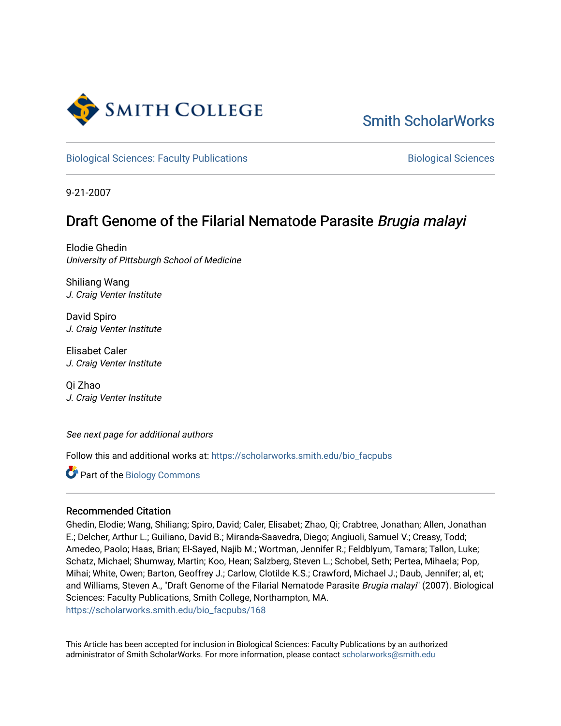

[Smith ScholarWorks](https://scholarworks.smith.edu/) 

[Biological Sciences: Faculty Publications](https://scholarworks.smith.edu/bio_facpubs) **Biological Sciences** Biological Sciences

9-21-2007

# Draft Genome of the Filarial Nematode Parasite Brugia malayi

Elodie Ghedin University of Pittsburgh School of Medicine

Shiliang Wang J. Craig Venter Institute

David Spiro J. Craig Venter Institute

Elisabet Caler J. Craig Venter Institute

Qi Zhao J. Craig Venter Institute

See next page for additional authors

Follow this and additional works at: [https://scholarworks.smith.edu/bio\\_facpubs](https://scholarworks.smith.edu/bio_facpubs?utm_source=scholarworks.smith.edu%2Fbio_facpubs%2F168&utm_medium=PDF&utm_campaign=PDFCoverPages)

Part of the [Biology Commons](http://network.bepress.com/hgg/discipline/41?utm_source=scholarworks.smith.edu%2Fbio_facpubs%2F168&utm_medium=PDF&utm_campaign=PDFCoverPages) 

## Recommended Citation

Ghedin, Elodie; Wang, Shiliang; Spiro, David; Caler, Elisabet; Zhao, Qi; Crabtree, Jonathan; Allen, Jonathan E.; Delcher, Arthur L.; Guiliano, David B.; Miranda-Saavedra, Diego; Angiuoli, Samuel V.; Creasy, Todd; Amedeo, Paolo; Haas, Brian; El-Sayed, Najib M.; Wortman, Jennifer R.; Feldblyum, Tamara; Tallon, Luke; Schatz, Michael; Shumway, Martin; Koo, Hean; Salzberg, Steven L.; Schobel, Seth; Pertea, Mihaela; Pop, Mihai; White, Owen; Barton, Geoffrey J.; Carlow, Clotilde K.S.; Crawford, Michael J.; Daub, Jennifer; al, et; and Williams, Steven A., "Draft Genome of the Filarial Nematode Parasite Brugia malayi" (2007). Biological Sciences: Faculty Publications, Smith College, Northampton, MA. [https://scholarworks.smith.edu/bio\\_facpubs/168](https://scholarworks.smith.edu/bio_facpubs/168?utm_source=scholarworks.smith.edu%2Fbio_facpubs%2F168&utm_medium=PDF&utm_campaign=PDFCoverPages)

This Article has been accepted for inclusion in Biological Sciences: Faculty Publications by an authorized administrator of Smith ScholarWorks. For more information, please contact [scholarworks@smith.edu](mailto:scholarworks@smith.edu)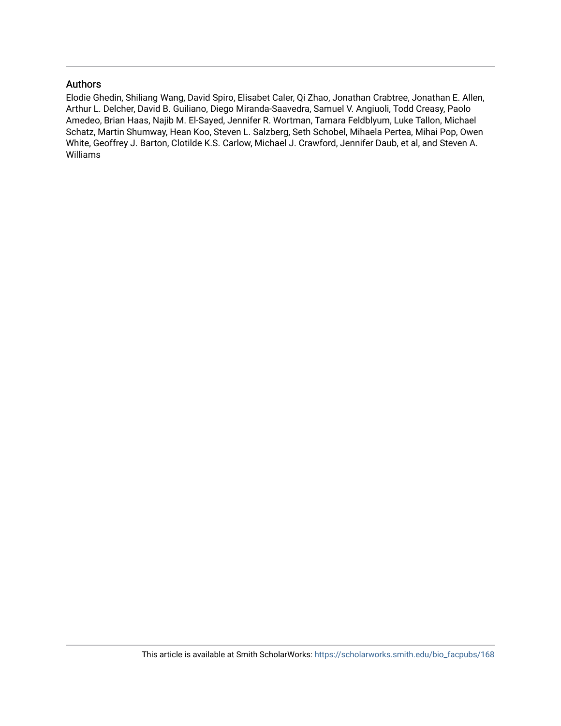## Authors

Elodie Ghedin, Shiliang Wang, David Spiro, Elisabet Caler, Qi Zhao, Jonathan Crabtree, Jonathan E. Allen, Arthur L. Delcher, David B. Guiliano, Diego Miranda-Saavedra, Samuel V. Angiuoli, Todd Creasy, Paolo Amedeo, Brian Haas, Najib M. El-Sayed, Jennifer R. Wortman, Tamara Feldblyum, Luke Tallon, Michael Schatz, Martin Shumway, Hean Koo, Steven L. Salzberg, Seth Schobel, Mihaela Pertea, Mihai Pop, Owen White, Geoffrey J. Barton, Clotilde K.S. Carlow, Michael J. Crawford, Jennifer Daub, et al, and Steven A. Williams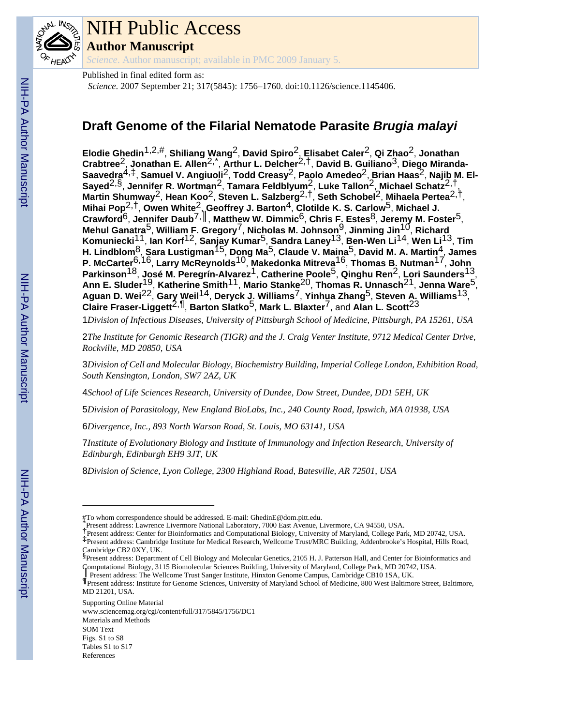

# NIH Public Access

**Author Manuscript**

*Science*. Author manuscript; available in PMC 2009 January 5.

Published in final edited form as:

*Science*. 2007 September 21; 317(5845): 1756–1760. doi:10.1126/science.1145406.

## **Draft Genome of the Filarial Nematode Parasite** *Brugia malayi*

**Elodie Ghedin**1,2,#, **Shiliang Wang**2, **David Spiro**2, **Elisabet Caler**2, **Qi Zhao**2, **Jonathan Crabtree**2, **Jonathan E. Allen**2,\* , **Arthur L. Delcher**2,†, **David B. Guiliano**3, **Diego Miranda-Saavedra**4,‡, **Samuel V. Angiuoli**2, **Todd Creasy**2, **Paolo Amedeo**2, **Brian Haas**2, **Najib M. El-Sayed**2,§, **Jennifer R. Wortman**2, **Tamara Feldblyum**2, **Luke Tallon**2, **Michael Schatz**2,†, **Martin Shumway**2, **Hean Koo**2, **Steven L. Salzberg**2,†, **Seth Schobel**2, **Mihaela Pertea**2,†, **Mihai Pop**2,†, **Owen White**2, **Geoffrey J. Barton**4, **Clotilde K. S. Carlow**5, **Michael J. Crawford**6, **Jennifer Daub**7,║, **Matthew W. Dimmic**6, **Chris F. Estes**8, **Jeremy M. Foster**5, **Mehul Ganatra**5, **William F. Gregory**7, **Nicholas M. Johnson**9, **Jinming Jin**10, **Richard Komuniecki**11, **Ian Korf**12, **Sanjay Kumar**5, **Sandra Laney**13, **Ben-Wen Li**14, **Wen Li**13, **Tim H. Lindblom**8, **Sara Lustigman**15, **Dong Ma**5, **Claude V. Maina**5, **David M. A. Martin**4, **James P. McCarter**6,16, **Larry McReynolds**10, **Makedonka Mitreva**16, **Thomas B. Nutman**17, **John Parkinson**18, **José M. Peregrín-Alvarez**1, **Catherine Poole**5, **Qinghu Ren**2, **Lori Saunders**13, **Ann E. Sluder**19, **Katherine Smith**11, **Mario Stanke**20, **Thomas R. Unnasch**21, **Jenna Ware**5, **Aguan D. Wei**22, **Gary Weil**14, **Deryck J. Williams**7, **Yinhua Zhang**5, **Steven A. Williams**13, **Claire Fraser-Liggett**2,¶, **Barton Slatko**5, **Mark L. Blaxter**7, and **Alan L. Scott**23

1*Division of Infectious Diseases, University of Pittsburgh School of Medicine, Pittsburgh, PA 15261, USA*

2*The Institute for Genomic Research (TIGR) and the J. Craig Venter Institute, 9712 Medical Center Drive, Rockville, MD 20850, USA*

3*Division of Cell and Molecular Biology, Biochemistry Building, Imperial College London, Exhibition Road, South Kensington, London, SW7 2AZ, UK*

4*School of Life Sciences Research, University of Dundee, Dow Street, Dundee, DD1 5EH, UK*

5*Division of Parasitology, New England BioLabs, Inc., 240 County Road, Ipswich, MA 01938, USA*

6*Divergence, Inc., 893 North Warson Road, St. Louis, MO 63141, USA*

7*Institute of Evolutionary Biology and Institute of Immunology and Infection Research, University of Edinburgh, Edinburgh EH9 3JT, UK*

8*Division of Science, Lyon College, 2300 Highland Road, Batesville, AR 72501, USA*

Supporting Online Material

www.sciencemag.org/cgi/content/full/317/5845/1756/DC1 Materials and Methods SOM Text Figs. S1 to S8 Tables S1 to S17 References

<sup>#</sup>To whom correspondence should be addressed. E-mail: GhedinE@dom.pitt.edu.

<sup>\*</sup>Present address: Lawrence Livermore National Laboratory, 7000 East Avenue, Livermore, CA 94550, USA.

<sup>†</sup>Present address: Center for Bioinformatics and Computational Biology, University of Maryland, College Park, MD 20742, USA. ‡Present address: Cambridge Institute for Medical Research, Wellcome Trust/MRC Building, Addenbrooke's Hospital, Hills Road, Cambridge CB2 0XY, UK.

<sup>§</sup>Present address: Department of Cell Biology and Molecular Genetics, 2105 H. J. Patterson Hall, and Center for Bioinformatics and Computational Biology, 3115 Biomolecular Sciences Building, University of Maryland, College Park, MD 20742, USA. ║Present address: The Wellcome Trust Sanger Institute, Hinxton Genome Campus, Cambridge CB10 1SA, UK.

<sup>¶</sup>Present address: Institute for Genome Sciences, University of Maryland School of Medicine, 800 West Baltimore Street, Baltimore, MD 21201, USA.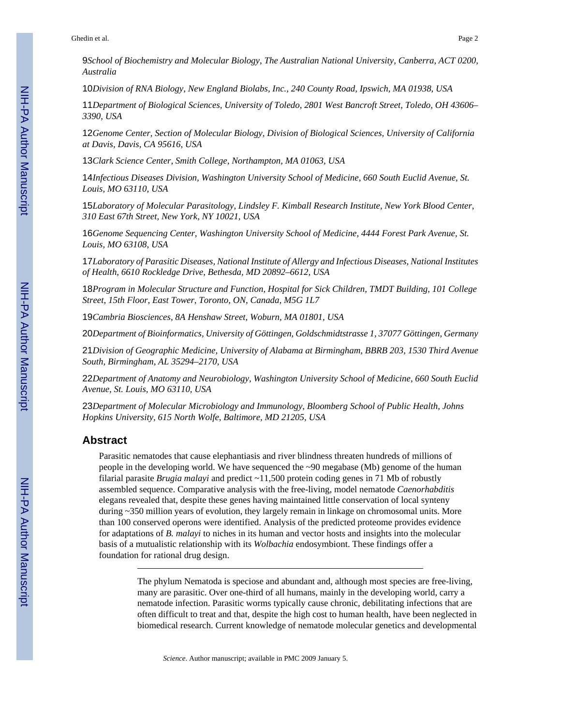Ghedin et al. Page 2

9*School of Biochemistry and Molecular Biology, The Australian National University, Canberra, ACT 0200, Australia*

10*Division of RNA Biology, New England Biolabs, Inc., 240 County Road, Ipswich, MA 01938, USA*

11*Department of Biological Sciences, University of Toledo, 2801 West Bancroft Street, Toledo, OH 43606– 3390, USA*

12*Genome Center, Section of Molecular Biology, Division of Biological Sciences, University of California at Davis, Davis, CA 95616, USA*

13*Clark Science Center, Smith College, Northampton, MA 01063, USA*

14*Infectious Diseases Division, Washington University School of Medicine, 660 South Euclid Avenue, St. Louis, MO 63110, USA*

15*Laboratory of Molecular Parasitology, Lindsley F. Kimball Research Institute, New York Blood Center, 310 East 67th Street, New York, NY 10021, USA*

16*Genome Sequencing Center, Washington University School of Medicine, 4444 Forest Park Avenue, St. Louis, MO 63108, USA*

17*Laboratory of Parasitic Diseases, National Institute of Allergy and Infectious Diseases, National Institutes of Health, 6610 Rockledge Drive, Bethesda, MD 20892–6612, USA*

18*Program in Molecular Structure and Function, Hospital for Sick Children, TMDT Building, 101 College Street, 15th Floor, East Tower, Toronto, ON, Canada, M5G 1L7*

19*Cambria Biosciences, 8A Henshaw Street, Woburn, MA 01801, USA*

20*Department of Bioinformatics, University of Göttingen, Goldschmidtstrasse 1, 37077 Göttingen, Germany*

21*Division of Geographic Medicine, University of Alabama at Birmingham, BBRB 203, 1530 Third Avenue South, Birmingham, AL 35294–2170, USA*

22*Department of Anatomy and Neurobiology, Washington University School of Medicine, 660 South Euclid Avenue, St. Louis, MO 63110, USA*

23*Department of Molecular Microbiology and Immunology, Bloomberg School of Public Health, Johns Hopkins University, 615 North Wolfe, Baltimore, MD 21205, USA*

#### **Abstract**

Parasitic nematodes that cause elephantiasis and river blindness threaten hundreds of millions of people in the developing world. We have sequenced the ~90 megabase (Mb) genome of the human filarial parasite *Brugia malayi* and predict ~11,500 protein coding genes in 71 Mb of robustly assembled sequence. Comparative analysis with the free-living, model nematode *Caenorhabditis* elegans revealed that, despite these genes having maintained little conservation of local synteny during ~350 million years of evolution, they largely remain in linkage on chromosomal units. More than 100 conserved operons were identified. Analysis of the predicted proteome provides evidence for adaptations of *B. malayi* to niches in its human and vector hosts and insights into the molecular basis of a mutualistic relationship with its *Wolbachia* endosymbiont. These findings offer a foundation for rational drug design.

> The phylum Nematoda is speciose and abundant and, although most species are free-living, many are parasitic. Over one-third of all humans, mainly in the developing world, carry a nematode infection. Parasitic worms typically cause chronic, debilitating infections that are often difficult to treat and that, despite the high cost to human health, have been neglected in biomedical research. Current knowledge of nematode molecular genetics and developmental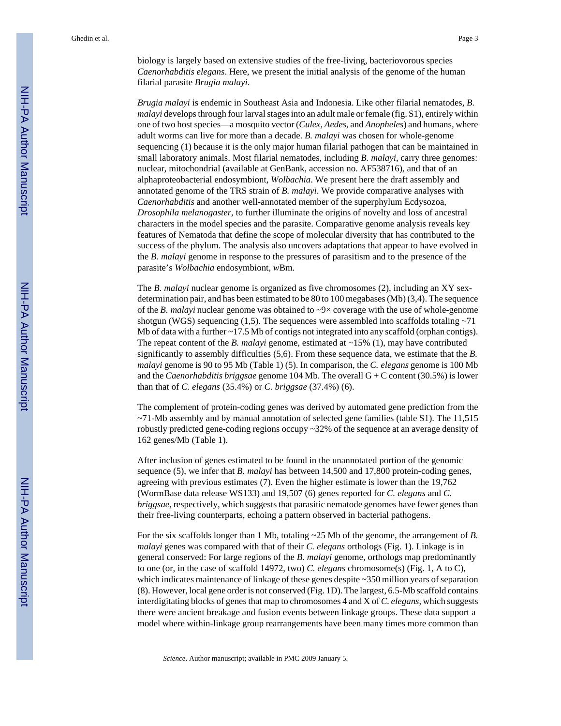biology is largely based on extensive studies of the free-living, bacteriovorous species *Caenorhabditis elegans*. Here, we present the initial analysis of the genome of the human filarial parasite *Brugia malayi*.

*Brugia malayi* is endemic in Southeast Asia and Indonesia. Like other filarial nematodes, *B. malayi* develops through four larval stages into an adult male or female (fig. S1), entirely within one of two host species—a mosquito vector (*Culex*, *Aedes*, and *Anopheles*) and humans, where adult worms can live for more than a decade. *B. malayi* was chosen for whole-genome sequencing (1) because it is the only major human filarial pathogen that can be maintained in small laboratory animals. Most filarial nematodes, including *B. malayi*, carry three genomes: nuclear, mitochondrial (available at GenBank, accession no. AF538716), and that of an alphaproteobacterial endosymbiont, *Wolbachia*. We present here the draft assembly and annotated genome of the TRS strain of *B. malayi*. We provide comparative analyses with *Caenorhabditis* and another well-annotated member of the superphylum Ecdysozoa, *Drosophila melanogaster*, to further illuminate the origins of novelty and loss of ancestral characters in the model species and the parasite. Comparative genome analysis reveals key features of Nematoda that define the scope of molecular diversity that has contributed to the success of the phylum. The analysis also uncovers adaptations that appear to have evolved in the *B. malayi* genome in response to the pressures of parasitism and to the presence of the parasite's *Wolbachia* endosymbiont, *w*Bm.

The *B. malayi* nuclear genome is organized as five chromosomes (2), including an XY sexdetermination pair, and has been estimated to be 80 to 100 megabases (Mb) (3,4). The sequence of the *B. malayi* nuclear genome was obtained to ~9× coverage with the use of whole-genome shotgun (WGS) sequencing (1,5). The sequences were assembled into scaffolds totaling  $~11$ Mb of data with a further ~17.5 Mb of contigs not integrated into any scaffold (orphan contigs). The repeat content of the *B. malayi* genome, estimated at ~15% (1), may have contributed significantly to assembly difficulties (5,6). From these sequence data, we estimate that the *B. malayi* genome is 90 to 95 Mb (Table 1) (5). In comparison, the *C. elegans* genome is 100 Mb and the *Caenorhabditis briggsae* genome 104 Mb. The overall G + C content (30.5%) is lower than that of *C. elegans* (35.4%) or *C. briggsae* (37.4%) (6).

The complement of protein-coding genes was derived by automated gene prediction from the  $\sim$ 71-Mb assembly and by manual annotation of selected gene families (table S1). The 11,515 robustly predicted gene-coding regions occupy ~32% of the sequence at an average density of 162 genes/Mb (Table 1).

After inclusion of genes estimated to be found in the unannotated portion of the genomic sequence (5), we infer that *B. malayi* has between 14,500 and 17,800 protein-coding genes, agreeing with previous estimates (7). Even the higher estimate is lower than the 19,762 (WormBase data release WS133) and 19,507 (6) genes reported for *C. elegans* and *C. briggsae*, respectively, which suggests that parasitic nematode genomes have fewer genes than their free-living counterparts, echoing a pattern observed in bacterial pathogens.

For the six scaffolds longer than 1 Mb, totaling ~25 Mb of the genome, the arrangement of *B. malayi* genes was compared with that of their *C. elegans* orthologs (Fig. 1). Linkage is in general conserved: For large regions of the *B. malayi* genome, orthologs map predominantly to one (or, in the case of scaffold 14972, two) *C. elegans* chromosome(s) (Fig. 1, A to C), which indicates maintenance of linkage of these genes despite ~350 million years of separation (8). However, local gene order is not conserved (Fig. 1D). The largest, 6.5-Mb scaffold contains interdigitating blocks of genes that map to chromosomes 4 and X of *C. elegans*, which suggests there were ancient breakage and fusion events between linkage groups. These data support a model where within-linkage group rearrangements have been many times more common than

*Science*. Author manuscript; available in PMC 2009 January 5.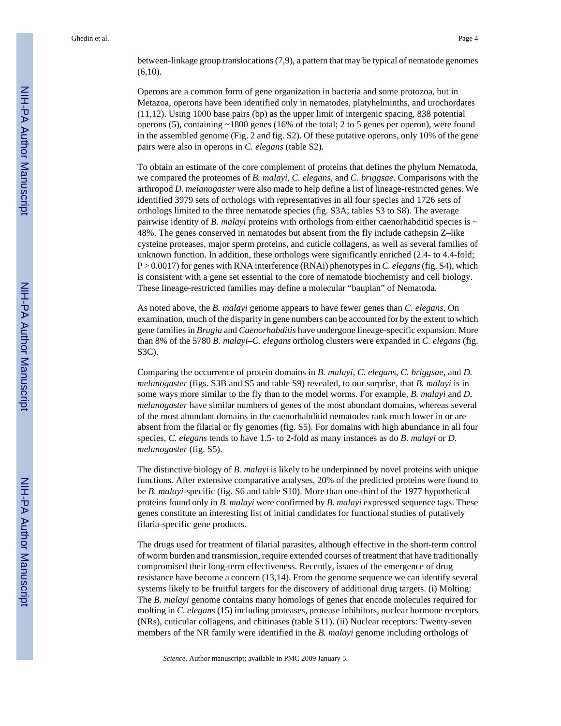between-linkage group translocations (7,9), a pattern that may be typical of nematode genomes  $(6,10)$ .

Operons are a common form of gene organization in bacteria and some protozoa, but in Metazoa, operons have been identified only in nematodes, platyhelminths, and urochordates (11,12). Using 1000 base pairs (bp) as the upper limit of intergenic spacing, 838 potential operons (5), containing ~1800 genes (16% of the total; 2 to 5 genes per operon), were found in the assembled genome (Fig. 2 and fig. S2). Of these putative operons, only 10% of the gene pairs were also in operons in *C. elegans* (table S2).

To obtain an estimate of the core complement of proteins that defines the phylum Nematoda, we compared the proteomes of *B. malayi*, *C. elegans*, and *C. briggsae*. Comparisons with the arthropod *D. melanogaster* were also made to help define a list of lineage-restricted genes. We identified 3979 sets of orthologs with representatives in all four species and 1726 sets of orthologs limited to the three nematode species (fig. S3A; tables S3 to S8). The average pairwise identity of *B. malayi* proteins with orthologs from either caenorhabilitid species is  $\sim$ 48%. The genes conserved in nematodes but absent from the fly include cathepsin Z–like cysteine proteases, major sperm proteins, and cuticle collagens, as well as several families of unknown function. In addition, these orthologs were significantly enriched (2.4- to 4.4-fold; P > 0.0017) for genes with RNA interference (RNAi) phenotypes in *C. elegans* (fig. S4), which is consistent with a gene set essential to the core of nematode biochemisty and cell biology. These lineage-restricted families may define a molecular "bauplan" of Nematoda.

As noted above, the *B. malayi* genome appears to have fewer genes than *C. elegans*. On examination, much of the disparity in gene numbers can be accounted for by the extent to which gene families in *Brugia* and *Caenorhabditis* have undergone lineage-specific expansion. More than 8% of the 5780 *B. malayi*–*C. elegans* ortholog clusters were expanded in *C. elegans* (fig. S3C).

Comparing the occurrence of protein domains in *B. malayi*, *C. elegans*, *C. briggsae*, and *D. melanogaster* (figs. S3B and S5 and table S9) revealed, to our surprise, that *B. malayi* is in some ways more similar to the fly than to the model worms. For example, *B. malayi* and *D. melanogaster* have similar numbers of genes of the most abundant domains, whereas several of the most abundant domains in the caenorhabditid nematodes rank much lower in or are absent from the filarial or fly genomes (fig. S5). For domains with high abundance in all four species, *C. elegans* tends to have 1.5- to 2-fold as many instances as do *B. malayi* or *D. melanogaster* (fig. S5).

The distinctive biology of *B. malayi* is likely to be underpinned by novel proteins with unique functions. After extensive comparative analyses, 20% of the predicted proteins were found to be *B. malayi*-specific (fig. S6 and table S10). More than one-third of the 1977 hypothetical proteins found only in *B. malayi* were confirmed by *B. malayi* expressed sequence tags. These genes constitute an interesting list of initial candidates for functional studies of putatively filaria-specific gene products.

The drugs used for treatment of filarial parasites, although effective in the short-term control of worm burden and transmission, require extended courses of treatment that have traditionally compromised their long-term effectiveness. Recently, issues of the emergence of drug resistance have become a concern (13,14). From the genome sequence we can identify several systems likely to be fruitful targets for the discovery of additional drug targets. (i) Molting: The *B. malayi* genome contains many homologs of genes that encode molecules required for molting in *C. elegans* (15) including proteases, protease inhibitors, nuclear hormone receptors (NRs), cuticular collagens, and chitinases (table S11). (ii) Nuclear receptors: Twenty-seven members of the NR family were identified in the *B. malayi* genome including orthologs of

*Science*. Author manuscript; available in PMC 2009 January 5.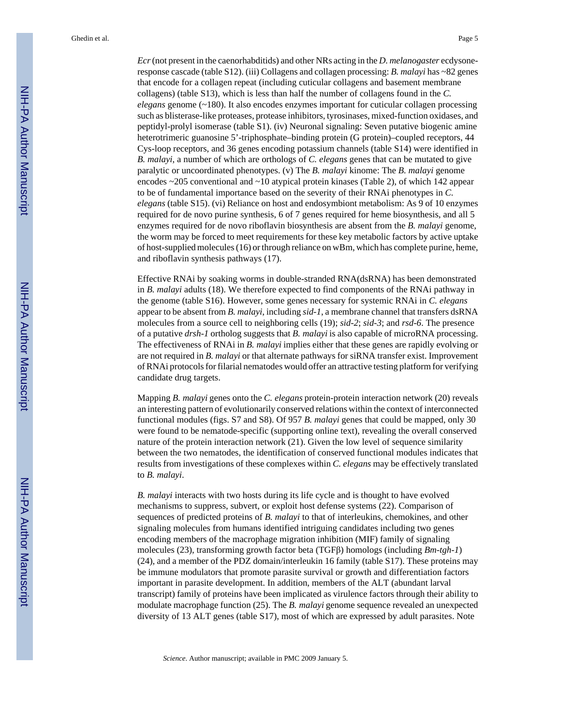*Ecr* (not present in the caenorhabditids) and other NRs acting in the *D. melanogaster* ecdysoneresponse cascade (table S12). (iii) Collagens and collagen processing: *B. malayi* has ~82 genes that encode for a collagen repeat (including cuticular collagens and basement membrane collagens) (table S13), which is less than half the number of collagens found in the *C. elegans* genome (~180). It also encodes enzymes important for cuticular collagen processing such as blisterase-like proteases, protease inhibitors, tyrosinases, mixed-function oxidases, and peptidyl-prolyl isomerase (table S1). (iv) Neuronal signaling: Seven putative biogenic amine heterotrimeric guanosine 5'-triphosphate–binding protein (G protein)–coupled receptors, 44 Cys-loop receptors, and 36 genes encoding potassium channels (table S14) were identified in *B. malayi*, a number of which are orthologs of *C. elegans* genes that can be mutated to give paralytic or uncoordinated phenotypes. (v) The *B. malayi* kinome: The *B. malayi* genome encodes  $\sim$ 205 conventional and  $\sim$ 10 atypical protein kinases (Table 2), of which 142 appear to be of fundamental importance based on the severity of their RNAi phenotypes in *C. elegans* (table S15). (vi) Reliance on host and endosymbiont metabolism: As 9 of 10 enzymes required for de novo purine synthesis, 6 of 7 genes required for heme biosynthesis, and all 5 enzymes required for de novo riboflavin biosynthesis are absent from the *B. malayi* genome, the worm may be forced to meet requirements for these key metabolic factors by active uptake of host-supplied molecules (16) or through reliance on wBm, which has complete purine, heme, and riboflavin synthesis pathways (17).

Effective RNAi by soaking worms in double-stranded RNA(dsRNA) has been demonstrated in *B. malayi* adults (18). We therefore expected to find components of the RNAi pathway in the genome (table S16). However, some genes necessary for systemic RNAi in *C. elegans* appear to be absent from *B. malayi*, including *sid-1*, a membrane channel that transfers dsRNA molecules from a source cell to neighboring cells (19); *sid-2*; *sid-3*; and *rsd-6*. The presence of a putative *drsh-1* ortholog suggests that *B. malayi* is also capable of microRNA processing. The effectiveness of RNAi in *B. malayi* implies either that these genes are rapidly evolving or are not required in *B. malayi* or that alternate pathways for siRNA transfer exist. Improvement of RNAi protocols for filarial nematodes would offer an attractive testing platform for verifying candidate drug targets.

Mapping *B. malayi* genes onto the *C. elegans* protein-protein interaction network (20) reveals an interesting pattern of evolutionarily conserved relations within the context of interconnected functional modules (figs. S7 and S8). Of 957 *B. malayi* genes that could be mapped, only 30 were found to be nematode-specific (supporting online text), revealing the overall conserved nature of the protein interaction network (21). Given the low level of sequence similarity between the two nematodes, the identification of conserved functional modules indicates that results from investigations of these complexes within *C. elegans* may be effectively translated to *B. malayi*.

*B. malayi* interacts with two hosts during its life cycle and is thought to have evolved mechanisms to suppress, subvert, or exploit host defense systems (22). Comparison of sequences of predicted proteins of *B. malayi* to that of interleukins, chemokines, and other signaling molecules from humans identified intriguing candidates including two genes encoding members of the macrophage migration inhibition (MIF) family of signaling molecules (23), transforming growth factor beta (TGFβ) homologs (including *Bm-tgh-1*) (24), and a member of the PDZ domain/interleukin 16 family (table S17). These proteins may be immune modulators that promote parasite survival or growth and differentiation factors important in parasite development. In addition, members of the ALT (abundant larval transcript) family of proteins have been implicated as virulence factors through their ability to modulate macrophage function (25). The *B. malayi* genome sequence revealed an unexpected diversity of 13 ALT genes (table S17), most of which are expressed by adult parasites. Note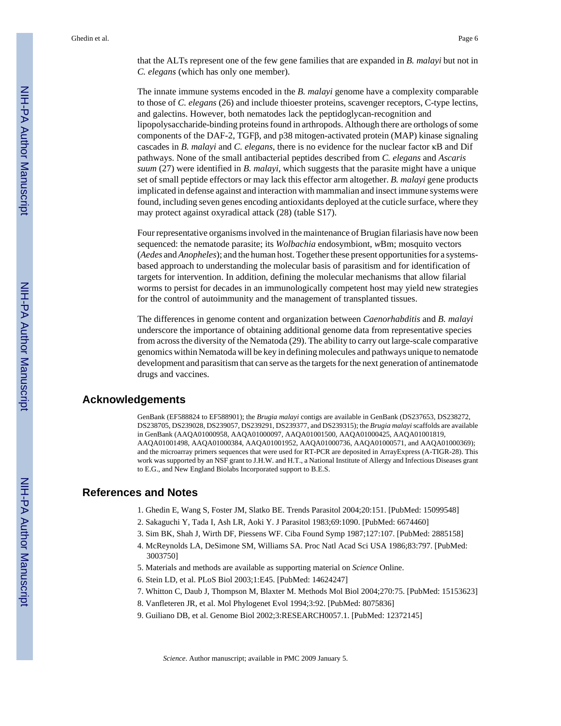that the ALTs represent one of the few gene families that are expanded in *B. malayi* but not in *C. elegans* (which has only one member).

The innate immune systems encoded in the *B. malayi* genome have a complexity comparable to those of *C. elegans* (26) and include thioester proteins, scavenger receptors, C-type lectins, and galectins. However, both nematodes lack the peptidoglycan-recognition and lipopolysaccharide-binding proteins found in arthropods. Although there are orthologs of some components of the DAF-2, TGFβ, and p38 mitogen-activated protein (MAP) kinase signaling cascades in *B. malayi* and *C. elegans*, there is no evidence for the nuclear factor κB and Dif pathways. None of the small antibacterial peptides described from *C. elegans* and *Ascaris suum* (27) were identified in *B. malayi*, which suggests that the parasite might have a unique set of small peptide effectors or may lack this effector arm altogether. *B. malayi* gene products implicated in defense against and interaction with mammalian and insect immune systems were found, including seven genes encoding antioxidants deployed at the cuticle surface, where they may protect against oxyradical attack (28) (table S17).

Four representative organisms involved in the maintenance of Brugian filariasis have now been sequenced: the nematode parasite; its *Wolbachia* endosymbiont, *w*Bm; mosquito vectors (*Aedes* and *Anopheles*); and the human host. Together these present opportunities for a systemsbased approach to understanding the molecular basis of parasitism and for identification of targets for intervention. In addition, defining the molecular mechanisms that allow filarial worms to persist for decades in an immunologically competent host may yield new strategies for the control of autoimmunity and the management of transplanted tissues.

The differences in genome content and organization between *Caenorhabditis* and *B. malayi* underscore the importance of obtaining additional genome data from representative species from across the diversity of the Nematoda (29). The ability to carry out large-scale comparative genomics within Nematoda will be key in defining molecules and pathways unique to nematode development and parasitism that can serve as the targets for the next generation of antinematode drugs and vaccines.

#### **Acknowledgements**

GenBank (EF588824 to EF588901); the *Brugia malayi* contigs are available in GenBank (DS237653, DS238272, DS238705, DS239028, DS239057, DS239291, DS239377, and DS239315); the *Brugia malayi* scaffolds are available in GenBank (AAQA01000958, AAQA01000097, AAQA01001500, AAQA01000425, AAQA01001819, AAQA01001498, AAQA01000384, AAQA01001952, AAQA01000736, AAQA01000571, and AAQA01000369); and the microarray primers sequences that were used for RT-PCR are deposited in ArrayExpress (A-TIGR-28). This work was supported by an NSF grant to J.H.W. and H.T., a National Institute of Allergy and Infectious Diseases grant to E.G., and New England Biolabs Incorporated support to B.E.S.

#### **References and Notes**

- 1. Ghedin E, Wang S, Foster JM, Slatko BE. Trends Parasitol 2004;20:151. [PubMed: 15099548]
- 2. Sakaguchi Y, Tada I, Ash LR, Aoki Y. J Parasitol 1983;69:1090. [PubMed: 6674460]
- 3. Sim BK, Shah J, Wirth DF, Piessens WF. Ciba Found Symp 1987;127:107. [PubMed: 2885158]
- 4. McReynolds LA, DeSimone SM, Williams SA. Proc Natl Acad Sci USA 1986;83:797. [PubMed: 3003750]
- 5. Materials and methods are available as supporting material on *Science* Online.
- 6. Stein LD, et al. PLoS Biol 2003;1:E45. [PubMed: 14624247]
- 7. Whitton C, Daub J, Thompson M, Blaxter M. Methods Mol Biol 2004;270:75. [PubMed: 15153623]
- 8. Vanfleteren JR, et al. Mol Phylogenet Evol 1994;3:92. [PubMed: 8075836]
- 9. Guiliano DB, et al. Genome Biol 2002;3:RESEARCH0057.1. [PubMed: 12372145]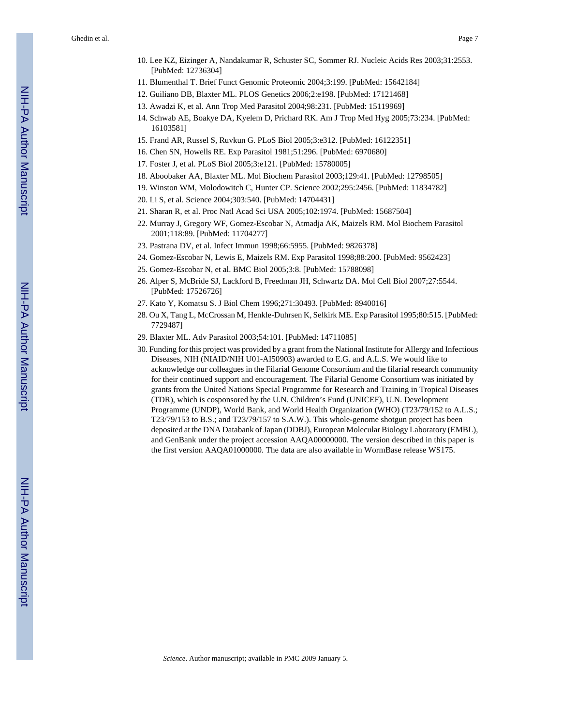Ghedin et al. Page 7

- 10. Lee KZ, Eizinger A, Nandakumar R, Schuster SC, Sommer RJ. Nucleic Acids Res 2003;31:2553. [PubMed: 12736304]
- 11. Blumenthal T. Brief Funct Genomic Proteomic 2004;3:199. [PubMed: 15642184]
- 12. Guiliano DB, Blaxter ML. PLOS Genetics 2006;2:e198. [PubMed: 17121468]
- 13. Awadzi K, et al. Ann Trop Med Parasitol 2004;98:231. [PubMed: 15119969]
- 14. Schwab AE, Boakye DA, Kyelem D, Prichard RK. Am J Trop Med Hyg 2005;73:234. [PubMed: 16103581]
- 15. Frand AR, Russel S, Ruvkun G. PLoS Biol 2005;3:e312. [PubMed: 16122351]
- 16. Chen SN, Howells RE. Exp Parasitol 1981;51:296. [PubMed: 6970680]
- 17. Foster J, et al. PLoS Biol 2005;3:e121. [PubMed: 15780005]
- 18. Aboobaker AA, Blaxter ML. Mol Biochem Parasitol 2003;129:41. [PubMed: 12798505]
- 19. Winston WM, Molodowitch C, Hunter CP. Science 2002;295:2456. [PubMed: 11834782]
- 20. Li S, et al. Science 2004;303:540. [PubMed: 14704431]
- 21. Sharan R, et al. Proc Natl Acad Sci USA 2005;102:1974. [PubMed: 15687504]
- 22. Murray J, Gregory WF, Gomez-Escobar N, Atmadja AK, Maizels RM. Mol Biochem Parasitol 2001;118:89. [PubMed: 11704277]
- 23. Pastrana DV, et al. Infect Immun 1998;66:5955. [PubMed: 9826378]
- 24. Gomez-Escobar N, Lewis E, Maizels RM. Exp Parasitol 1998;88:200. [PubMed: 9562423]
- 25. Gomez-Escobar N, et al. BMC Biol 2005;3:8. [PubMed: 15788098]
- 26. Alper S, McBride SJ, Lackford B, Freedman JH, Schwartz DA. Mol Cell Biol 2007;27:5544. [PubMed: 17526726]
- 27. Kato Y, Komatsu S. J Biol Chem 1996;271:30493. [PubMed: 8940016]
- 28. Ou X, Tang L, McCrossan M, Henkle-Duhrsen K, Selkirk ME. Exp Parasitol 1995;80:515. [PubMed: 7729487]
- 29. Blaxter ML. Adv Parasitol 2003;54:101. [PubMed: 14711085]
- 30. Funding for this project was provided by a grant from the National Institute for Allergy and Infectious Diseases, NIH (NIAID/NIH U01-AI50903) awarded to E.G. and A.L.S. We would like to acknowledge our colleagues in the Filarial Genome Consortium and the filarial research community for their continued support and encouragement. The Filarial Genome Consortium was initiated by grants from the United Nations Special Programme for Research and Training in Tropical Diseases (TDR), which is cosponsored by the U.N. Children's Fund (UNICEF), U.N. Development Programme (UNDP), World Bank, and World Health Organization (WHO) (T23/79/152 to A.L.S.; T23/79/153 to B.S.; and T23/79/157 to S.A.W.). This whole-genome shotgun project has been deposited at the DNA Databank of Japan (DDBJ), European Molecular Biology Laboratory (EMBL), and GenBank under the project accession AAQA00000000. The version described in this paper is the first version AAQA01000000. The data are also available in WormBase release WS175.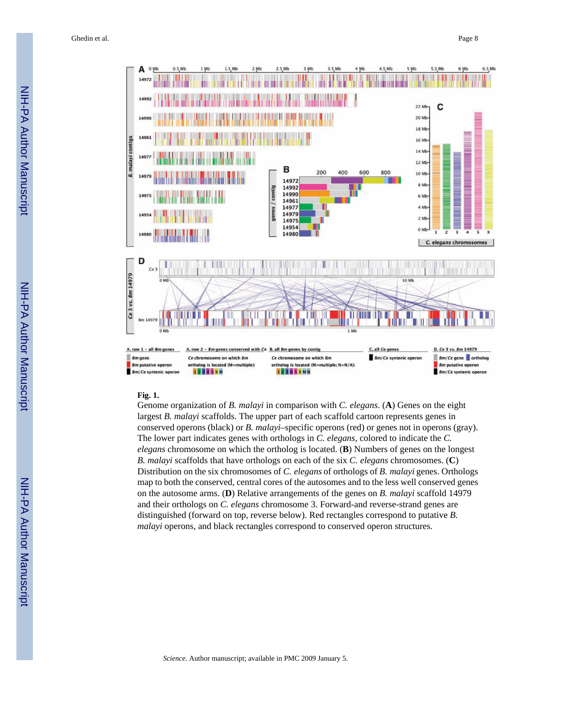

#### **Fig. 1.**

Genome organization of *B. malayi* in comparison with *C. elegans*. (**A**) Genes on the eight largest *B. malayi* scaffolds. The upper part of each scaffold cartoon represents genes in conserved operons (black) or *B. malayi*–specific operons (red) or genes not in operons (gray). The lower part indicates genes with orthologs in *C. elegans*, colored to indicate the *C. elegans* chromosome on which the ortholog is located. (**B**) Numbers of genes on the longest *B. malayi* scaffolds that have orthologs on each of the six *C. elegans* chromosomes. (**C**) Distribution on the six chromosomes of *C. elegans* of orthologs of *B. malayi* genes. Orthologs map to both the conserved, central cores of the autosomes and to the less well conserved genes on the autosome arms. (**D**) Relative arrangements of the genes on *B. malayi* scaffold 14979 and their orthologs on *C. elegans* chromosome 3. Forward-and reverse-strand genes are distinguished (forward on top, reverse below). Red rectangles correspond to putative *B. malayi* operons, and black rectangles correspond to conserved operon structures.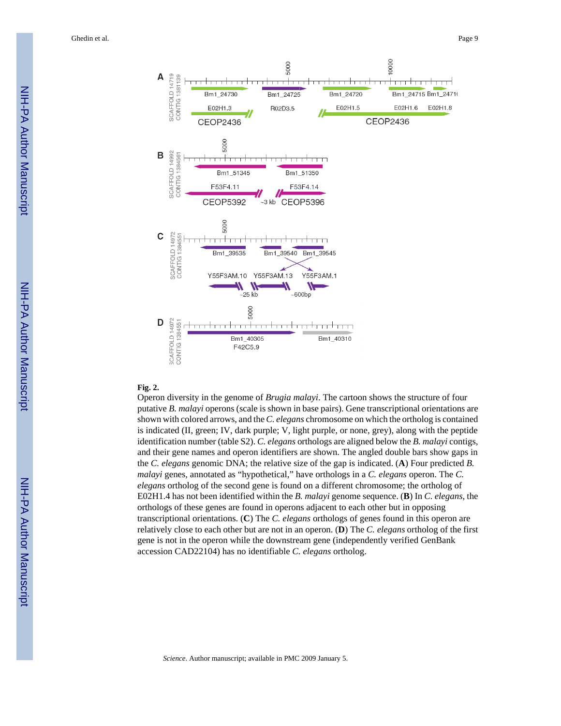

#### 14972 SCAFFOLD 14972<br>CONTIG 1384551 Y55F3AM.10 Y55F3AM.13 Y55F3AM.1  $\boldsymbol{\theta}$  $~25$  kb  $-600bp$ 5000 D 3CAFFOLD 14972<br>CONTIG 1384551 <del>1. . . . 1. . . .</del> تتبيتك بنبي Bm1\_40305 Bm1\_40310 F42C5.9

## **Fig. 2.**

A

B

C

SCAFFOLD 14992 CONTIG<sub>1384561</sub>

SCAFFOLD 14719 CONTIG 1381139

Operon diversity in the genome of *Brugia malayi*. The cartoon shows the structure of four putative *B. malayi* operons (scale is shown in base pairs). Gene transcriptional orientations are shown with colored arrows, and the *C. elegans* chromosome on which the ortholog is contained is indicated (II, green; IV, dark purple; V, light purple, or none, grey), along with the peptide identification number (table S2). *C. elegans* orthologs are aligned below the *B. malayi* contigs, and their gene names and operon identifiers are shown. The angled double bars show gaps in the *C. elegans* genomic DNA; the relative size of the gap is indicated. (**A**) Four predicted *B. malayi* genes, annotated as "hypothetical," have orthologs in a *C. elegans* operon. The *C. elegans* ortholog of the second gene is found on a different chromosome; the ortholog of E02H1.4 has not been identified within the *B. malayi* genome sequence. (**B**) In *C. elegans*, the orthologs of these genes are found in operons adjacent to each other but in opposing transcriptional orientations. (**C**) The *C. elegans* orthologs of genes found in this operon are relatively close to each other but are not in an operon. (**D**) The *C. elegans* ortholog of the first gene is not in the operon while the downstream gene (independently verified GenBank accession CAD22104) has no identifiable *C. elegans* ortholog.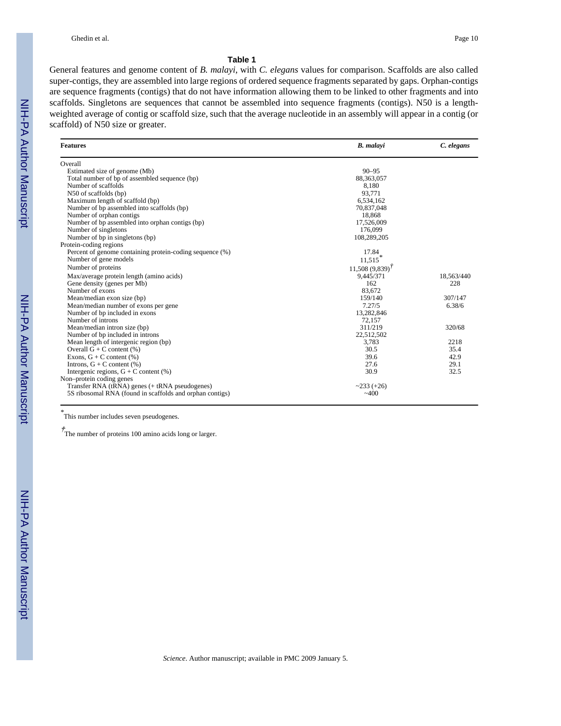#### **Table 1**

General features and genome content of *B. malayi*, with *C. elegans* values for comparison. Scaffolds are also called super-contigs, they are assembled into large regions of ordered sequence fragments separated by gaps. Orphan-contigs are sequence fragments (contigs) that do not have information allowing them to be linked to other fragments and into scaffolds. Singletons are sequences that cannot be assembled into sequence fragments (contigs). N50 is a lengthweighted average of contig or scaffold size, such that the average nucleotide in an assembly will appear in a contig (or scaffold) of N50 size or greater.

| <b>Features</b>                                          | <b>B.</b> malayi    | C. elegans |
|----------------------------------------------------------|---------------------|------------|
| Overall                                                  |                     |            |
| Estimated size of genome (Mb)                            | $90 - 95$           |            |
| Total number of bp of assembled sequence (bp)            | 88, 363, 057        |            |
| Number of scaffolds                                      | 8.180               |            |
| N50 of scaffolds (bp)                                    | 93,771              |            |
| Maximum length of scaffold (bp)                          | 6,534,162           |            |
| Number of bp assembled into scaffolds (bp)               | 70,837,048          |            |
| Number of orphan contigs                                 | 18.868              |            |
| Number of bp assembled into orphan contigs (bp)          | 17,526,009          |            |
| Number of singletons                                     | 176,099             |            |
| Number of bp in singletons (bp)                          | 108,289,205         |            |
| Protein-coding regions                                   |                     |            |
| Percent of genome containing protein-coding sequence (%) | 17.84               |            |
| Number of gene models                                    | 11,515              |            |
| Number of proteins                                       | $11,508(9,839)^{T}$ |            |
| Max/average protein length (amino acids)                 | 9,445/371           | 18,563/440 |
| Gene density (genes per Mb)                              | 162                 | 228        |
| Number of exons                                          | 83.672              |            |
| Mean/median exon size (bp)                               | 159/140             | 307/147    |
| Mean/median number of exons per gene                     | 7.27/5              | 6.38/6     |
| Number of bp included in exons                           | 13,282,846          |            |
| Number of introns                                        | 72,157              |            |
| Mean/median intron size (bp)                             | 311/219             | 320/68     |
| Number of bp included in introns                         | 22,512,502          |            |
| Mean length of intergenic region (bp)                    | 3,783               | 2218       |
| Overall $G + C$ content $(\%)$                           | 30.5                | 35.4       |
| Exons, $G + C$ content $(\%)$                            | 39.6                | 42.9       |
| Introns, $G + C$ content $(\%)$                          | 27.6                | 29.1       |
| Intergenic regions, $G + C$ content (%)                  | 30.9                | 32.5       |
| Non-protein coding genes                                 |                     |            |
| Transfer RNA (tRNA) genes (+ tRNA pseudogenes)           | $~233 (+26)$        |            |
| 5S ribosomal RNA (found in scaffolds and orphan contigs) | ~100                |            |

*\** This number includes seven pseudogenes.

† The number of proteins 100 amino acids long or larger.